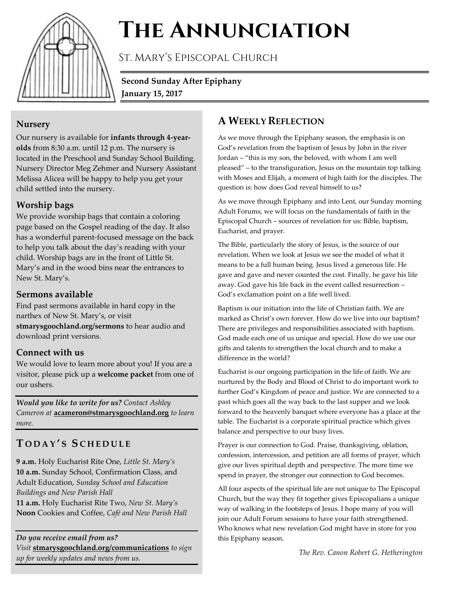

# **The Annunciation**

St. Mary's Episcopal Church

**Second Sunday After Epiphany January 15, 2017**

#### **Nursery**

Our nursery is available for **infants through 4-yearolds** from 8:30 a.m. until 12 p.m. The nursery is located in the Preschool and Sunday School Building. Nursery Director Meg Zehmer and Nursery Assistant Melissa Alicea will be happy to help you get your child settled into the nursery.

# **Worship bags**

We provide worship bags that contain a coloring page based on the Gospel reading of the day. It also has a wonderful parent-focused message on the back to help you talk about the day's reading with your child. Worship bags are in the front of Little St. Mary's and in the wood bins near the entrances to New St. Mary's.

#### **Sermons available**

Find past sermons available in hard copy in the narthex of New St. Mary's, or visit **stmarysgoochland.org/sermons** to hear audio and download print versions.

#### **Connect with us**

We would love to learn more about you! If you are a visitor, please pick up a **welcome packet** from one of our ushers.

*Would you like to write for us? Contact Ashley Cameron at* **acameron@stmarysgoochland.org** *to learn more.*

# **T O D A Y ' S S C H E D U L E**

**9 a.m.** Holy Eucharist Rite One, *Little St. Mary's* **10 a.m.** Sunday School, Confirmation Class, and Adult Education, *Sunday School and Education Buildings and New Parish Hall*

**11 a.m.** Holy Eucharist Rite Two, *New St. Mary's* **Noon** Cookies and Coffee, *Café and New Parish Hall*

*Do you receive email from us? Visit* **stmarysgoochland.org/communications** *to sign up for weekly updates and news from us.*

# **A WEEKLY REFLECTION**

As we move through the Epiphany season, the emphasis is on God's revelation from the baptism of Jesus by John in the river Jordan – "this is my son, the beloved, with whom I am well pleased" – to the transfiguration, Jesus on the mountain top talking with Moses and Elijah, a moment of high faith for the disciples. The question is: how does God reveal himself to us?

As we move through Epiphany and into Lent, our Sunday morning Adult Forums, we will focus on the fundamentals of faith in the Episcopal Church – sources of revelation for us: Bible, baptism, Eucharist, and prayer.

The Bible, particularly the story of Jesus, is the source of our revelation. When we look at Jesus we see the model of what it means to be a full human being. Jesus lived a generous life. He gave and gave and never counted the cost. Finally, he gave his life away. God gave his life back in the event called resurrection – God's exclamation point on a life well lived.

Baptism is our initiation into the life of Christian faith. We are marked as Christ's own forever. How do we live into our baptism? There are privileges and responsibilities associated with baptism. God made each one of us unique and special. How do we use our gifts and talents to strengthen the local church and to make a difference in the world?

Eucharist is our ongoing participation in the life of faith. We are nurtured by the Body and Blood of Christ to do important work to further God's Kingdom of peace and justice. We are connected to a past which goes all the way back to the last supper and we look forward to the heavenly banquet where everyone has a place at the table. The Eucharist is a corporate spiritual practice which gives balance and perspective to our busy lives.

Prayer is our connection to God. Praise, thanksgiving, oblation, confession, intercession, and petition are all forms of prayer, which give our lives spiritual depth and perspective. The more time we spend in prayer, the stronger our connection to God becomes.

All four aspects of the spiritual life are not unique to The Episcopal Church, but the way they fit together gives Episcopalians a unique way of walking in the footsteps of Jesus. I hope many of you will join our Adult Forum sessions to have your faith strengthened. Who knows what new revelation God might have in store for you this Epiphany season.

*The Rev. Canon Robert G. Hetherington*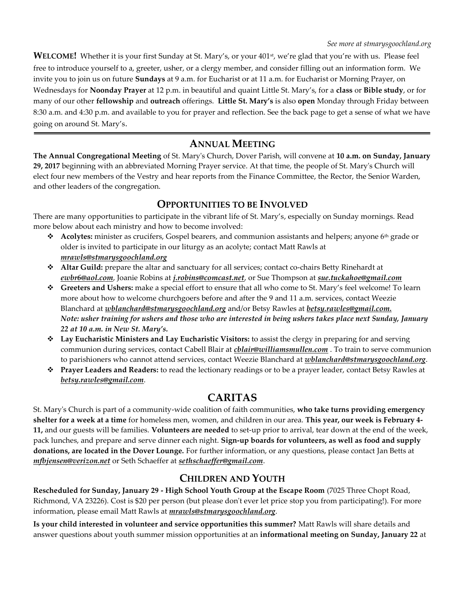**WELCOME!** Whether it is your first Sunday at St. Mary's, or your 401<sup>st</sup>, we're glad that you're with us. Please feel free to introduce yourself to a, greeter, usher, or a clergy member, and consider filling out an information form. We invite you to join us on future **Sundays** at 9 a.m. for Eucharist or at 11 a.m. for Eucharist or Morning Prayer, on Wednesdays for **Noonday Prayer** at 12 p.m. in beautiful and quaint Little St. Mary's, for a **class** or **Bible study**, or for many of our other **fellowship** and **outreach** offerings. **Little St. Mary's** is also **open** Monday through Friday between 8:30 a.m. and 4:30 p.m. and available to you for prayer and reflection. See the back page to get a sense of what we have going on around St. Mary's.

### **ANNUAL MEETING**

**The Annual Congregational Meeting** of St. Mary's Church, Dover Parish, will convene at **10 a.m. on Sunday, January 29, 2017** beginning with an abbreviated Morning Prayer service. At that time, the people of St. Mary's Church will elect four new members of the Vestry and hear reports from the Finance Committee, the Rector, the Senior Warden, and other leaders of the congregation.

#### **OPPORTUNITIES TO BE INVOLVED**

There are many opportunities to participate in the vibrant life of St. Mary's, especially on Sunday mornings. Read more below about each ministry and how to become involved:

- **↑** Acolytes: minister as crucifers, Gospel bearers, and communion assistants and helpers; anyone 6<sup>th</sup> grade or older is invited to participate in our liturgy as an acolyte; contact Matt Rawls at *mrawls@stmarysgoochland.org*
- **Altar Guild:** prepare the altar and sanctuary for all services; contact co-chairs Betty Rinehardt at *ewbr6@aol.com*, Joanie Robins at *j.robins@comcast.net*, or Sue Thompson at *sue.tuckahoe@gmail.com*
- **Greeters and Ushers:** make a special effort to ensure that all who come to St. Mary's feel welcome! To learn more about how to welcome churchgoers before and after the 9 and 11 a.m. services, contact Weezie Blanchard at *[wblanchard@stmarysgoochland.org](mailto:wblanchard@stmarysgoochland.org)* and/or Betsy Rawles at *[betsy.rawles@gmail.com.](mailto:betsy.rawles@gmail.com)  Note: usher training for ushers and those who are interested in being ushers takes place next Sunday, January 22 at 10 a.m. in New St. Mary's.*
- **Lay Eucharistic Ministers and Lay Eucharistic Visitors:** to assist the clergy in preparing for and serving communion during services, contact Cabell Blair at *cblair@williamsmullen.com* . To train to serve communion to parishioners who cannot attend services, contact Weezie Blanchard at *wblanchard@stmarysgoochland.org*.
- **Prayer Leaders and Readers:** to read the lectionary readings or to be a prayer leader, contact Betsy Rawles at *betsy.rawles@gmail.com*.

# **CARITAS**

St. Mary's Church is part of a community-wide coalition of faith communities, **who take turns providing emergency shelter for a week at a time** for homeless men, women, and children in our area. **This year, our week is February 4- 11,** and our guests will be families. **Volunteers are needed** to set-up prior to arrival, tear down at the end of the week, pack lunches, and prepare and serve dinner each night. **Sign-up boards for volunteers, as well as food and supply donations, are located in the Dover Lounge.** For further information, or any questions, please contact Jan Betts at *mfbjensen@verizon.net* or Seth Schaeffer at *sethschaeffer@gmail.com*.

#### **CHILDREN AND YOUTH**

**Rescheduled for Sunday, January 29 - High School Youth Group at the Escape Room** (7025 Three Chopt Road, Richmond, VA 23226). Cost is \$20 per person (but please don't ever let price stop you from participating!). For more information, please email Matt Rawls at *mrawls@stmarysgoochland.org*.

**Is your child interested in volunteer and service opportunities this summer?** Matt Rawls will share details and answer questions about youth summer mission opportunities at an **informational meeting on Sunday, January 22** at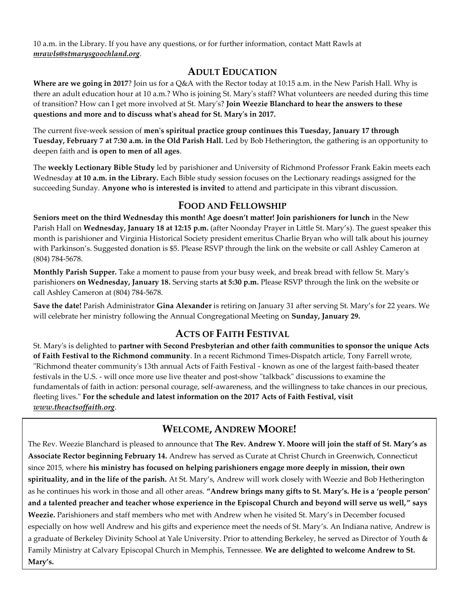10 a.m. in the Library. If you have any questions, or for further information, contact Matt Rawls at *mrawls@stmarysgoochland.org*.

#### **ADULT EDUCATION**

**Where are we going in 2017**? Join us for a Q&A with the Rector today at 10:15 a.m. in the New Parish Hall. Why is there an adult education hour at 10 a.m.? Who is joining St. Mary's staff? What volunteers are needed during this time of transition? How can I get more involved at St. Mary's? **Join Weezie Blanchard to hear the answers to these questions and more and to discuss what's ahead for St. Mary's in 2017.**

The current five-week session of **men's spiritual practice group continues this Tuesday, January 17 through Tuesday, February 7 at 7:30 a.m. in the Old Parish Hall.** Led by Bob Hetherington, the gathering is an opportunity to deepen faith and **is open to men of all ages**.

The **weekly Lectionary Bible Study** led by parishioner and University of Richmond Professor Frank Eakin meets each Wednesday **at 10 a.m. in the Library.** Each Bible study session focuses on the Lectionary readings assigned for the succeeding Sunday. **Anyone who is interested is invited** to attend and participate in this vibrant discussion.

#### **FOOD AND FELLOWSHIP**

**Seniors meet on the third Wednesday this month! Age doesn't matter! Join parishioners for lunch** in the New Parish Hall on **Wednesday, January 18 at 12:15 p.m.** (after Noonday Prayer in Little St. Mary's). The guest speaker this month is parishioner and Virginia Historical Society president emeritus Charlie Bryan who will talk about his journey with Parkinson's. Suggested donation is \$5. Please RSVP through the link on the website or call Ashley Cameron at (804) 784-5678.

**Monthly Parish Supper.** Take a moment to pause from your busy week, and break bread with fellow St. Mary's parishioners **on Wednesday, January 18.** Serving starts **at 5:30 p.m.** Please RSVP through the link on the website or call Ashley Cameron at (804) 784-5678.

**Save the date!** Parish Administrator **Gina Alexander** is retiring on January 31 after serving St. Mary's for 22 years. We will celebrate her ministry following the Annual Congregational Meeting on **Sunday, January 29.**

#### **ACTS OF FAITH FESTIVAL**

St. Mary's is delighted to **partner with Second Presbyterian and other faith communities to sponsor the unique Acts of Faith Festival to the Richmond community**. In a recent Richmond Times-Dispatch article, Tony Farrell wrote, "Richmond theater community's 13th annual Acts of Faith Festival - known as one of the largest faith-based theater festivals in the U.S. - will once more use live theater and post-show "talkback" discussions to examine the fundamentals of faith in action: personal courage, self-awareness, and the willingness to take chances in our precious, fleeting lives." **For the schedule and latest information on the 2017 Acts of Faith Festival, visit** *www.theactsoffaith.org*.

# **WELCOME, ANDREW MOORE!**

The Rev. Weezie Blanchard is pleased to announce that **The Rev. Andrew Y. Moore will join the staff of St. Mary's as Associate Rector beginning February 14.** Andrew has served as Curate at Christ Church in Greenwich, Connecticut since 2015, where **his ministry has focused on helping parishioners engage more deeply in mission, their own spirituality, and in the life of the parish.** At St. Mary's, Andrew will work closely with Weezie and Bob Hetherington as he continues his work in those and all other areas. **"Andrew brings many gifts to St. Mary's. He is a 'people person' and a talented preacher and teacher whose experience in the Episcopal Church and beyond will serve us well," says Weezie.** Parishioners and staff members who met with Andrew when he visited St. Mary's in December focused especially on how well Andrew and his gifts and experience meet the needs of St. Mary's. An Indiana native, Andrew is a graduate of Berkeley Divinity School at Yale University. Prior to attending Berkeley, he served as Director of Youth & Family Ministry at Calvary Episcopal Church in Memphis, Tennessee. **We are delighted to welcome Andrew to St. Mary's.**